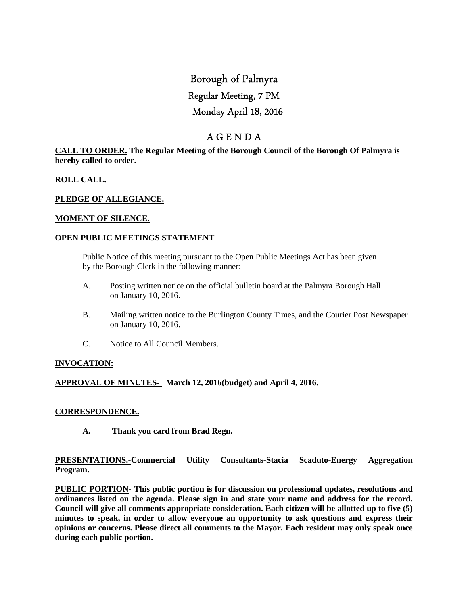# Borough of Palmyra Regular Meeting, 7 PM Monday April 18, 2016

# A G E N D A

# **CALL TO ORDER. The Regular Meeting of the Borough Council of the Borough Of Palmyra is hereby called to order.**

# **ROLL CALL.**

# **PLEDGE OF ALLEGIANCE.**

# **MOMENT OF SILENCE.**

# **OPEN PUBLIC MEETINGS STATEMENT**

 Public Notice of this meeting pursuant to the Open Public Meetings Act has been given by the Borough Clerk in the following manner:

- A. Posting written notice on the official bulletin board at the Palmyra Borough Hall on January 10, 2016.
- B. Mailing written notice to the Burlington County Times, and the Courier Post Newspaper on January 10, 2016.
- C. Notice to All Council Members.

# **INVOCATION:**

# **APPROVAL OF MINUTES- March 12, 2016(budget) and April 4, 2016.**

# **CORRESPONDENCE.**

**A. Thank you card from Brad Regn.** 

**PRESENTATIONS.-Commercial Utility Consultants-Stacia Scaduto-Energy Aggregation Program.** 

**PUBLIC PORTION- This public portion is for discussion on professional updates, resolutions and ordinances listed on the agenda. Please sign in and state your name and address for the record. Council will give all comments appropriate consideration. Each citizen will be allotted up to five (5) minutes to speak, in order to allow everyone an opportunity to ask questions and express their opinions or concerns. Please direct all comments to the Mayor. Each resident may only speak once during each public portion.**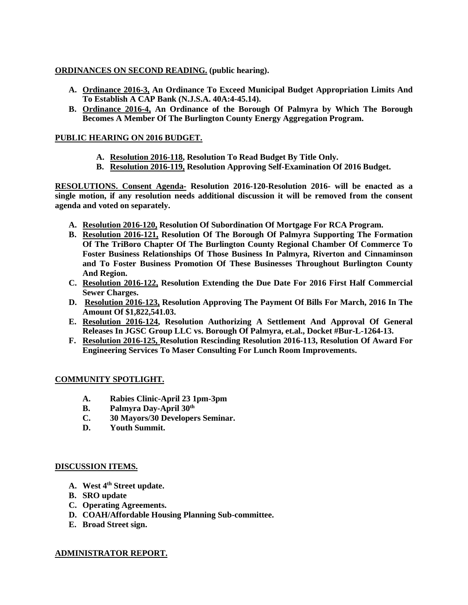# **ORDINANCES ON SECOND READING. (public hearing).**

- **A. Ordinance 2016-3, An Ordinance To Exceed Municipal Budget Appropriation Limits And To Establish A CAP Bank (N.J.S.A. 40A:4-45.14).**
- **B. Ordinance 2016-4, An Ordinance of the Borough Of Palmyra by Which The Borough Becomes A Member Of The Burlington County Energy Aggregation Program.**

# **PUBLIC HEARING ON 2016 BUDGET.**

- **A. Resolution 2016-118, Resolution To Read Budget By Title Only.**
- **B. Resolution 2016-119, Resolution Approving Self-Examination Of 2016 Budget.**

**RESOLUTIONS. Consent Agenda- Resolution 2016-120-Resolution 2016- will be enacted as a single motion, if any resolution needs additional discussion it will be removed from the consent agenda and voted on separately.** 

- **A. Resolution 2016-120, Resolution Of Subordination Of Mortgage For RCA Program.**
- **B. Resolution 2016-121, Resolution Of The Borough Of Palmyra Supporting The Formation Of The TriBoro Chapter Of The Burlington County Regional Chamber Of Commerce To Foster Business Relationships Of Those Business In Palmyra, Riverton and Cinnaminson and To Foster Business Promotion Of These Businesses Throughout Burlington County And Region.**
- **C. Resolution 2016-122, Resolution Extending the Due Date For 2016 First Half Commercial Sewer Charges.**
- **D. Resolution 2016-123, Resolution Approving The Payment Of Bills For March, 2016 In The Amount Of \$1,822,541.03.**
- **E. Resolution 2016-124, Resolution Authorizing A Settlement And Approval Of General Releases In JGSC Group LLC vs. Borough Of Palmyra, et.al., Docket #Bur-L-1264-13.**
- **F. Resolution 2016-125, Resolution Rescinding Resolution 2016-113, Resolution Of Award For Engineering Services To Maser Consulting For Lunch Room Improvements.**

# **COMMUNITY SPOTLIGHT.**

- **A. Rabies Clinic-April 23 1pm-3pm**
- **B. Palmyra Day-April 30th**
- **C. 30 Mayors/30 Developers Seminar.**
- **D. Youth Summit.**

# **DISCUSSION ITEMS.**

- **A. West 4th Street update.**
- **B. SRO update**
- **C. Operating Agreements.**
- **D. COAH/Affordable Housing Planning Sub-committee.**
- **E. Broad Street sign.**

# **ADMINISTRATOR REPORT.**